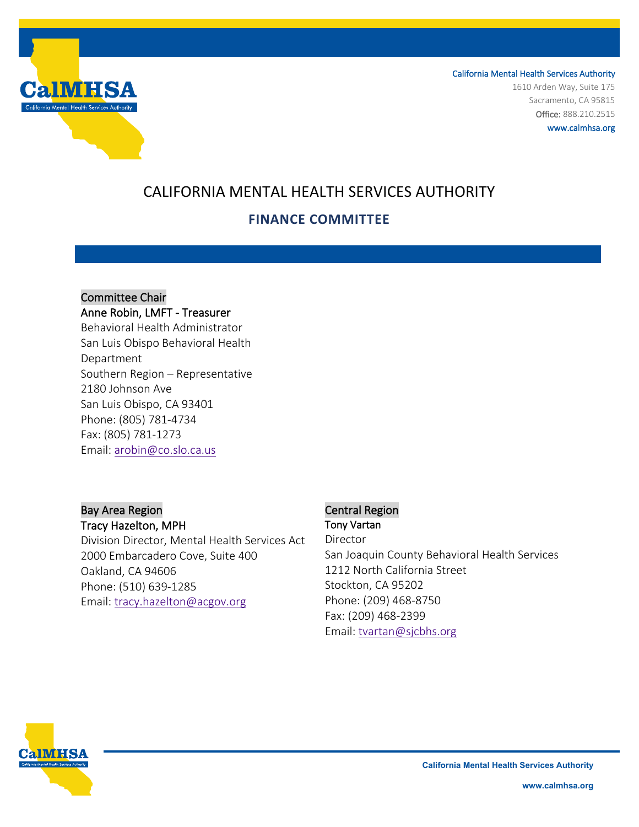

California Mental Health Services Authority 1610 Arden Way, Suite 175 Sacramento, CA 95815 Office: 888.210.2515 www.calmhsa.org

# CALIFORNIA MENTAL HEALTH SERVICES AUTHORITY

## **FINANCE COMMITTEE**

Committee Chair Anne Robin, LMFT - Treasurer Behavioral Health Administrator San Luis Obispo Behavioral Health Department Southern Region – Representative 2180 Johnson Ave San Luis Obispo, CA 93401 Phone: (805) 781-4734 Fax: (805) 781-1273 Email: [arobin@co.slo.ca.us](mailto:arobin@co.slo.ca.us)

### Bay Area Region

#### Tracy Hazelton, MPH

Division Director, Mental Health Services Act 2000 Embarcadero Cove, Suite 400 Oakland, CA 94606 Phone: (510) 639-1285 Email: [tracy.hazelton@acgov.org](mailto:tracy.hazelton@acgov.org)

## Central Region Tony Vartan

Director San Joaquin County Behavioral Health Services 1212 North California Street Stockton, CA 95202 Phone: (209) 468-8750 Fax: (209) 468-2399 Email: [tvartan@sjcbhs.org](mailto:tvartan@sjcbhs.org)



**California Mental Health Services Authority**